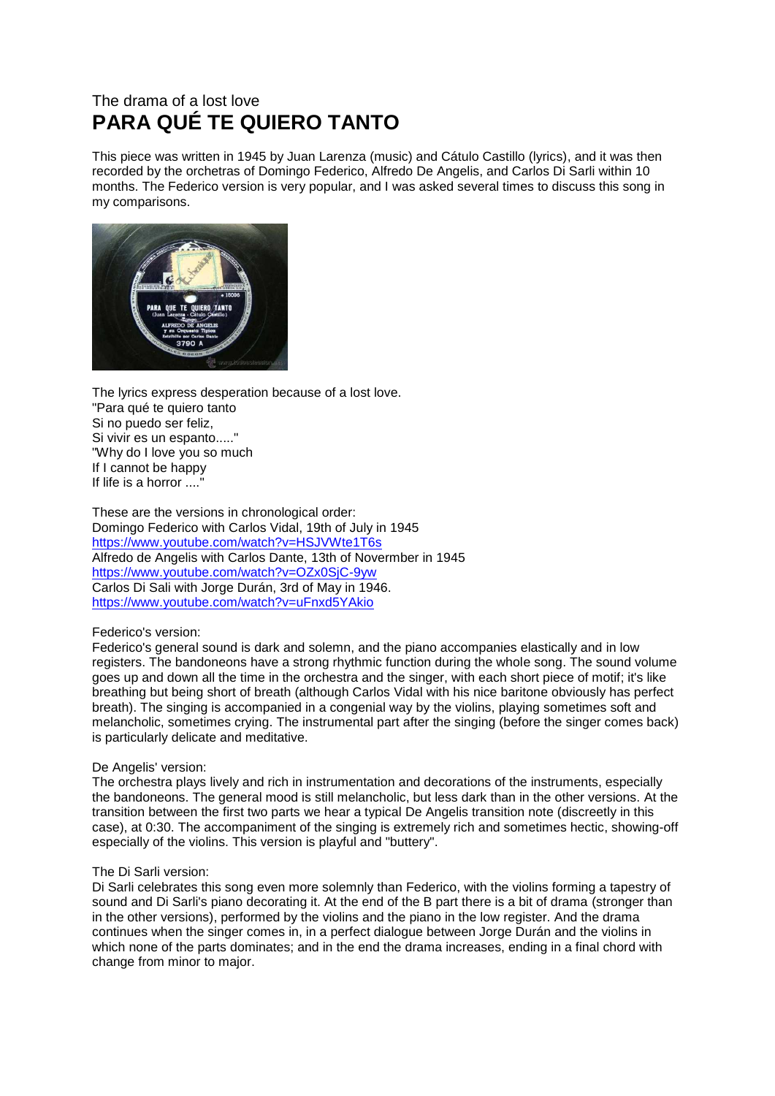## The drama of a lost love **PARA QUÉ TE QUIERO TANTO**

This piece was written in 1945 by Juan Larenza (music) and Cátulo Castillo (lyrics), and it was then recorded by the orchetras of Domingo Federico, Alfredo De Angelis, and Carlos Di Sarli within 10 months. The Federico version is very popular, and I was asked several times to discuss this song in my comparisons.



The lyrics express desperation because of a lost love. "Para qué te quiero tanto Si no puedo ser feliz, Si vivir es un espanto.....' "Why do I love you so much If I cannot be happy If life is a horror ...."

These are the versions in chronological order: Domingo Federico with Carlos Vidal, 19th of July in 1945 <https://www.youtube.com/watch?v=HSJVWte1T6s> Alfredo de Angelis with Carlos Dante, 13th of Novermber in 1945 <https://www.youtube.com/watch?v=OZx0SjC-9yw> Carlos Di Sali with Jorge Durán, 3rd of May in 1946. <https://www.youtube.com/watch?v=uFnxd5YAkio>

## Federico's version:

Federico's general sound is dark and solemn, and the piano accompanies elastically and in low registers. The bandoneons have a strong rhythmic function during the whole song. The sound volume goes up and down all the time in the orchestra and the singer, with each short piece of motif; it's like breathing but being short of breath (although Carlos Vidal with his nice baritone obviously has perfect breath). The singing is accompanied in a congenial way by the violins, playing sometimes soft and melancholic, sometimes crying. The instrumental part after the singing (before the singer comes back) is particularly delicate and meditative.

## De Angelis' version:

The orchestra plays lively and rich in instrumentation and decorations of the instruments, especially the bandoneons. The general mood is still melancholic, but less dark than in the other versions. At the transition between the first two parts we hear a typical De Angelis transition note (discreetly in this case), at 0:30. The accompaniment of the singing is extremely rich and sometimes hectic, showing-off especially of the violins. This version is playful and "buttery".

## The Di Sarli version:

Di Sarli celebrates this song even more solemnly than Federico, with the violins forming a tapestry of sound and Di Sarli's piano decorating it. At the end of the B part there is a bit of drama (stronger than in the other versions), performed by the violins and the piano in the low register. And the drama continues when the singer comes in, in a perfect dialogue between Jorge Durán and the violins in which none of the parts dominates; and in the end the drama increases, ending in a final chord with change from minor to major.